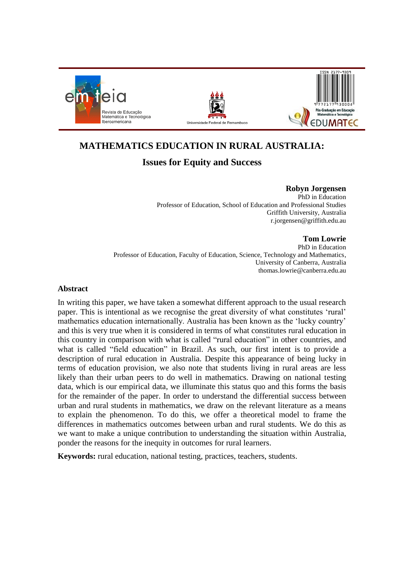





# **MATHEMATICS EDUCATION IN RURAL AUSTRALIA:**

# **Issues for Equity and Success**

**Robyn Jorgensen** PhD in Education Professor of Education, School of Education and Professional Studies Griffith University, Australia r.jorgensen@griffith.edu.au

## **Tom Lowrie**

PhD in Education Professor of Education, Faculty of Education, Science, Technology and Mathematics, University of Canberra, Australia thomas.lowrie@canberra.edu.au

## **Abstract**

In writing this paper, we have taken a somewhat different approach to the usual research paper. This is intentional as we recognise the great diversity of what constitutes 'rural' mathematics education internationally. Australia has been known as the 'lucky country' and this is very true when it is considered in terms of what constitutes rural education in this country in comparison with what is called "rural education" in other countries, and what is called "field education" in Brazil. As such, our first intent is to provide a description of rural education in Australia. Despite this appearance of being lucky in terms of education provision, we also note that students living in rural areas are less likely than their urban peers to do well in mathematics. Drawing on national testing data, which is our empirical data, we illuminate this status quo and this forms the basis for the remainder of the paper. In order to understand the differential success between urban and rural students in mathematics, we draw on the relevant literature as a means to explain the phenomenon. To do this, we offer a theoretical model to frame the differences in mathematics outcomes between urban and rural students. We do this as we want to make a unique contribution to understanding the situation within Australia, ponder the reasons for the inequity in outcomes for rural learners.

**Keywords:** rural education, national testing, practices, teachers, students.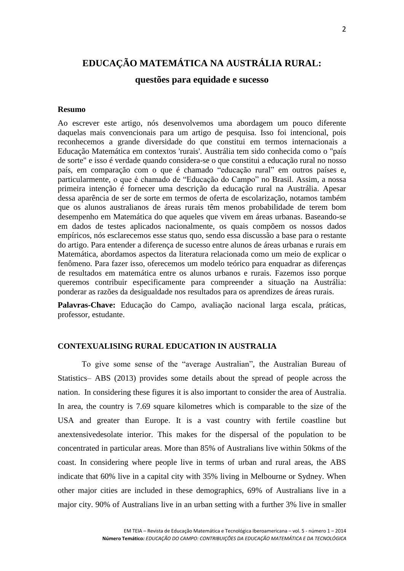# **EDUCAÇÃO MATEMÁTICA NA AUSTRÁLIA RURAL:**

## **questões para equidade e sucesso**

#### **Resumo**

Ao escrever este artigo, nós desenvolvemos uma abordagem um pouco diferente daquelas mais convencionais para um artigo de pesquisa. Isso foi intencional, pois reconhecemos a grande diversidade do que constitui em termos internacionais a Educação Matemática em contextos 'rurais'. Austrália tem sido conhecida como o "país de sorte" e isso é verdade quando considera-se o que constitui a educação rural no nosso país, em comparação com o que é chamado "educação rural" em outros países e, particularmente, o que é chamado de "Educação do Campo" no Brasil. Assim, a nossa primeira intenção é fornecer uma descrição da educação rural na Austrália. Apesar dessa aparência de ser de sorte em termos de oferta de escolarização, notamos também que os alunos australianos de áreas rurais têm menos probabilidade de terem bom desempenho em Matemática do que aqueles que vivem em áreas urbanas. Baseando-se em dados de testes aplicados nacionalmente, os quais compõem os nossos dados empíricos, nós esclarecemos esse status quo, sendo essa discussão a base para o restante do artigo. Para entender a diferença de sucesso entre alunos de áreas urbanas e rurais em Matemática, abordamos aspectos da literatura relacionada como um meio de explicar o fenômeno. Para fazer isso, oferecemos um modelo teórico para enquadrar as diferenças de resultados em matemática entre os alunos urbanos e rurais. Fazemos isso porque queremos contribuir especificamente para compreender a situação na Austrália: ponderar as razões da desigualdade nos resultados para os aprendizes de áreas rurais.

**Palavras-Chave:** Educação do Campo, avaliação nacional larga escala, práticas, professor, estudante.

## **CONTEXUALISING RURAL EDUCATION IN AUSTRALIA**

To give some sense of the "average Australian", the Australian Bureau of Statistics– ABS [\(2013\)](#page-10-0) provides some details about the spread of people across the nation. In considering these figures it is also important to consider the area of Australia. In area, the country is 7.69 square kilometres which is comparable to the size of the USA and greater than Europe. It is a vast country with fertile coastline but anextensivedesolate interior. This makes for the dispersal of the population to be concentrated in particular areas. More than 85% of Australians live within 50kms of the coast. In considering where people live in terms of urban and rural areas, the ABS indicate that 60% live in a capital city with 35% living in Melbourne or Sydney. When other major cities are included in these demographics, 69% of Australians live in a major city. 90% of Australians live in an urban setting with a further 3% live in smaller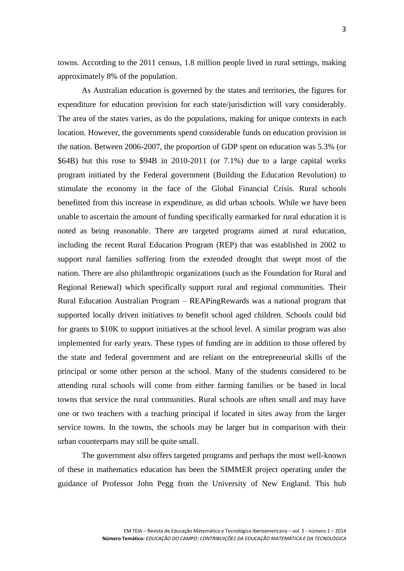towns. According to the 2011 census, 1.8 million people lived in rural settings, making approximately 8% of the population.

As Australian education is governed by the states and territories, the figures for expenditure for education provision for each state/jurisdiction will vary considerably. The area of the states varies, as do the populations, making for unique contexts in each location. However, the governments spend considerable funds on education provision in the nation. Between 2006-2007, the proportion of GDP spent on education was 5.3% (or \$64B) but this rose to \$94B in 2010-2011 (or 7.1%) due to a large capital works program initiated by the Federal government (Building the Education Revolution) to stimulate the economy in the face of the Global Financial Crisis. Rural schools benefitted from this increase in expenditure, as did urban schools. While we have been unable to ascertain the amount of funding specifically earmarked for rural education it is noted as being reasonable. There are targeted programs aimed at rural education, including the recent Rural Education Program (REP) that was established in 2002 to support rural families suffering from the extended drought that swept most of the nation. There are also philanthropic organizations (such as the Foundation for Rural and Regional Renewal) which specifically support rural and regional communities. Their Rural Education Australian Program – REAPingRewards was a national program that supported locally driven initiatives to benefit school aged children. Schools could bid for grants to \$10K to support initiatives at the school level. A similar program was also implemented for early years. These types of funding are in addition to those offered by the state and federal government and are reliant on the entrepreneurial skills of the principal or some other person at the school. Many of the students considered to be attending rural schools will come from either farming families or be based in local towns that service the rural communities. Rural schools are often small and may have one or two teachers with a teaching principal if located in sites away from the larger service towns. In the towns, the schools may be larger but in comparison with their urban counterparts may still be quite small.

The government also offers targeted programs and perhaps the most well-known of these in mathematics education has been the SIMMER project operating under the guidance of Professor John Pegg from the University of New England. This hub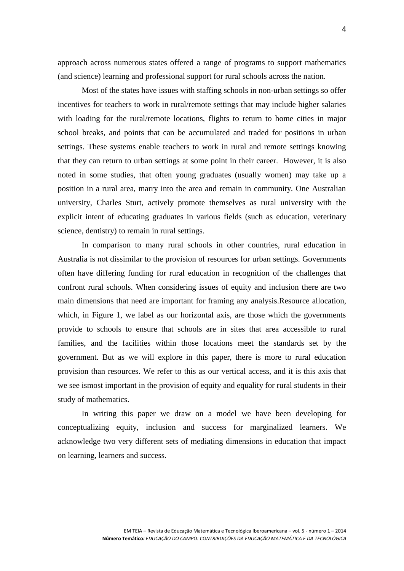approach across numerous states offered a range of programs to support mathematics (and science) learning and professional support for rural schools across the nation.

Most of the states have issues with staffing schools in non-urban settings so offer incentives for teachers to work in rural/remote settings that may include higher salaries with loading for the rural/remote locations, flights to return to home cities in major school breaks, and points that can be accumulated and traded for positions in urban settings. These systems enable teachers to work in rural and remote settings knowing that they can return to urban settings at some point in their career. However, it is also noted in some studies, that often young graduates (usually women) may take up a position in a rural area, marry into the area and remain in community. One Australian university, Charles Sturt, actively promote themselves as rural university with the explicit intent of educating graduates in various fields (such as education, veterinary science, dentistry) to remain in rural settings.

In comparison to many rural schools in other countries, rural education in Australia is not dissimilar to the provision of resources for urban settings. Governments often have differing funding for rural education in recognition of the challenges that confront rural schools. When considering issues of equity and inclusion there are two main dimensions that need are important for framing any analysis.Resource allocation, which, in Figure 1, we label as our horizontal axis, are those which the governments provide to schools to ensure that schools are in sites that area accessible to rural families, and the facilities within those locations meet the standards set by the government. But as we will explore in this paper, there is more to rural education provision than resources. We refer to this as our vertical access, and it is this axis that we see ismost important in the provision of equity and equality for rural students in their study of mathematics.

In writing this paper we draw on a model we have been developing for conceptualizing equity, inclusion and success for marginalized learners. We acknowledge two very different sets of mediating dimensions in education that impact on learning, learners and success.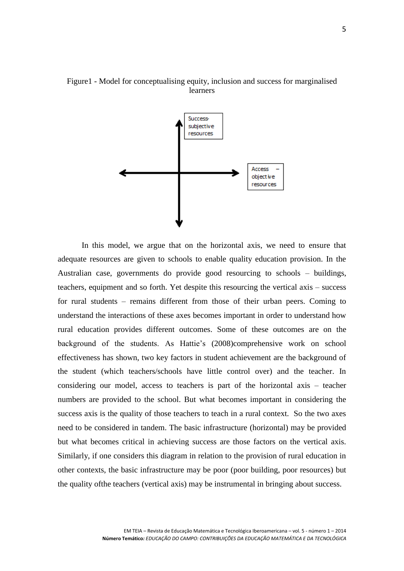

## Figure1 - Model for conceptualising equity, inclusion and success for marginalised learners

In this model, we argue that on the horizontal axis, we need to ensure that adequate resources are given to schools to enable quality education provision. In the Australian case, governments do provide good resourcing to schools – buildings, teachers, equipment and so forth. Yet despite this resourcing the vertical axis – success for rural students – remains different from those of their urban peers. Coming to understand the interactions of these axes becomes important in order to understand how rural education provides different outcomes. Some of these outcomes are on the background of the students. As Hattie's [\(2008\)](#page-11-0)comprehensive work on school effectiveness has shown, two key factors in student achievement are the background of the student (which teachers/schools have little control over) and the teacher. In considering our model, access to teachers is part of the horizontal axis – teacher numbers are provided to the school. But what becomes important in considering the success axis is the quality of those teachers to teach in a rural context. So the two axes need to be considered in tandem. The basic infrastructure (horizontal) may be provided but what becomes critical in achieving success are those factors on the vertical axis. Similarly, if one considers this diagram in relation to the provision of rural education in other contexts, the basic infrastructure may be poor (poor building, poor resources) but the quality ofthe teachers (vertical axis) may be instrumental in bringing about success.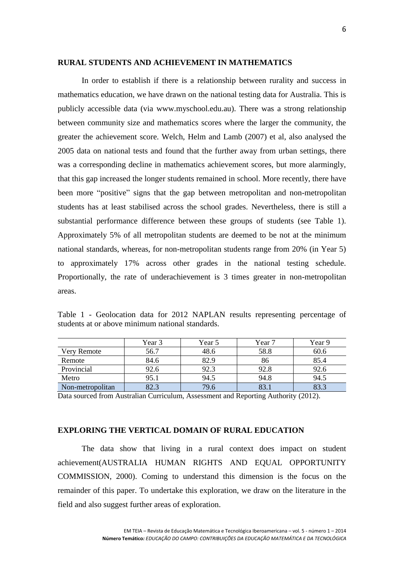#### **RURAL STUDENTS AND ACHIEVEMENT IN MATHEMATICS**

In order to establish if there is a relationship between rurality and success in mathematics education, we have drawn on the national testing data for Australia. This is publicly accessible data (via [www.myschool.edu.au\)](http://www.myschool.edu.au/). There was a strong relationship between community size and mathematics scores where the larger the community, the greater the achievement score. Welch, Helm and Lamb (2007) et al, also analysed the 2005 data on national tests and found that the further away from urban settings, there was a corresponding decline in mathematics achievement scores, but more alarmingly, that this gap increased the longer students remained in school. More recently, there have been more "positive" signs that the gap between metropolitan and non-metropolitan students has at least stabilised across the school grades. Nevertheless, there is still a substantial performance difference between these groups of students (see Table 1). Approximately 5% of all metropolitan students are deemed to be not at the minimum national standards, whereas, for non-metropolitan students range from 20% (in Year 5) to approximately 17% across other grades in the national testing schedule. Proportionally, the rate of underachievement is 3 times greater in non-metropolitan areas.

|                  | Year 3 | Year 5 | Year 7 | Year 9 |
|------------------|--------|--------|--------|--------|
| Very Remote      | 56.7   | 48.6   | 58.8   | 60.6   |
| Remote           | 84.6   | 82.9   | 86     | 85.4   |
| Provincial       | 92.6   | 92.3   | 92.8   | 92.6   |
| Metro            | 95.1   | 94.5   | 94.8   | 94.5   |
| Non-metropolitan | 82.3   | 79.6   | 83.1   | 83.3   |

Table 1 - Geolocation data for 2012 NAPLAN results representing percentage of students at or above minimum national standards.

Data sourced from Australian Curriculum, Assessment and Reporting Authority (2012).

## **EXPLORING THE VERTICAL DOMAIN OF RURAL EDUCATION**

The data show that living in a rural context does impact on student achievement[\(AUSTRALIA HUMAN RIGHTS AND EQUAL OPPORTUNITY](#page-11-1)  [COMMISSION, 2000\)](#page-11-1). Coming to understand this dimension is the focus on the remainder of this paper. To undertake this exploration, we draw on the literature in the field and also suggest further areas of exploration.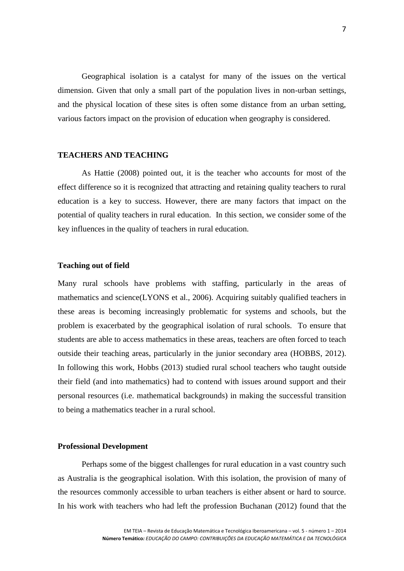Geographical isolation is a catalyst for many of the issues on the vertical dimension. Given that only a small part of the population lives in non-urban settings, and the physical location of these sites is often some distance from an urban setting, various factors impact on the provision of education when geography is considered.

## **TEACHERS AND TEACHING**

As Hattie (2008) pointed out, it is the teacher who accounts for most of the effect difference so it is recognized that attracting and retaining quality teachers to rural education is a key to success. However, there are many factors that impact on the potential of quality teachers in rural education. In this section, we consider some of the key influences in the quality of teachers in rural education.

## **Teaching out of field**

Many rural schools have problems with staffing, particularly in the areas of mathematics and science(LYONS [et al., 2006\)](#page-12-0). Acquiring suitably qualified teachers in these areas is becoming increasingly problematic for systems and schools, but the problem is exacerbated by the geographical isolation of rural schools. To ensure that students are able to access mathematics in these areas, teachers are often forced to teach outside their teaching areas, particularly in the junior secondary area [\(HOBBS, 2012\)](#page-11-2). In following this work, Hobbs [\(2013\)](#page-11-3) studied rural school teachers who taught outside their field (and into mathematics) had to contend with issues around support and their personal resources (i.e. mathematical backgrounds) in making the successful transition to being a mathematics teacher in a rural school.

#### **Professional Development**

Perhaps some of the biggest challenges for rural education in a vast country such as Australia is the geographical isolation. With this isolation, the provision of many of the resources commonly accessible to urban teachers is either absent or hard to source. In his work with teachers who had left the profession Buchanan [\(2012\)](#page-11-4) found that the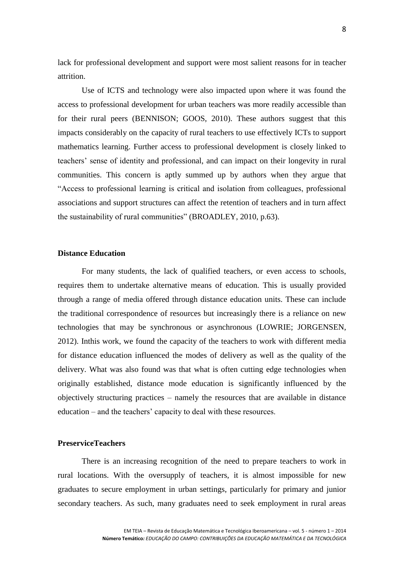lack for professional development and support were most salient reasons for in teacher attrition.

Use of ICTS and technology were also impacted upon where it was found the access to professional development for urban teachers was more readily accessible than for their rural peers (BENNISON; [GOOS, 2010\)](#page-11-5). These authors suggest that this impacts considerably on the capacity of rural teachers to use effectively ICTs to support mathematics learning. Further access to professional development is closely linked to teachers' sense of identity and professional, and can impact on their longevity in rural communities. This concern is aptly summed up by authors when they argue that "Access to professional learning is critical and isolation from colleagues, professional associations and support structures can affect the retention of teachers and in turn affect the sustainability of rural communities" [\(BROADLEY, 2010, p.63\)](#page-11-6).

#### **Distance Education**

For many students, the lack of qualified teachers, or even access to schools, requires them to undertake alternative means of education. This is usually provided through a range of media offered through distance education units. These can include the traditional correspondence of resources but increasingly there is a reliance on new technologies that may be synchronous or asynchronous [\(LOWRIE; JORGENSEN,](#page-12-1)  [2012\)](#page-12-1). Inthis work, we found the capacity of the teachers to work with different media for distance education influenced the modes of delivery as well as the quality of the delivery. What was also found was that what is often cutting edge technologies when originally established, distance mode education is significantly influenced by the objectively structuring practices – namely the resources that are available in distance education – and the teachers' capacity to deal with these resources.

## **PreserviceTeachers**

There is an increasing recognition of the need to prepare teachers to work in rural locations. With the oversupply of teachers, it is almost impossible for new graduates to secure employment in urban settings, particularly for primary and junior secondary teachers. As such, many graduates need to seek employment in rural areas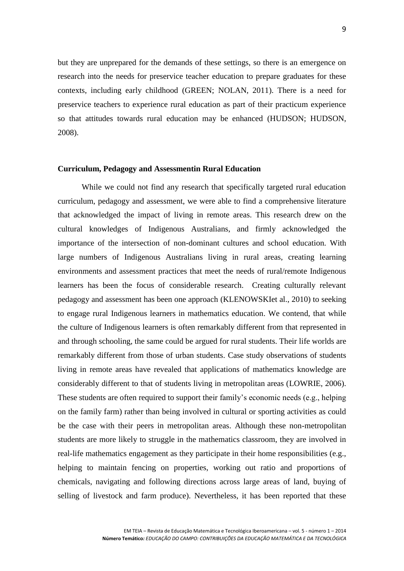but they are unprepared for the demands of these settings, so there is an emergence on research into the needs for preservice teacher education to prepare graduates for these contexts, including early childhood (GREEN; [NOLAN, 2011\)](#page-11-7). There is a need for preservice teachers to experience rural education as part of their practicum experience so that attitudes towards rural education may be enhanced (HUDSON; [HUDSON,](#page-11-8)  [2008\)](#page-11-8).

#### **Curriculum, Pedagogy and Assessmentin Rural Education**

While we could not find any research that specifically targeted rural education curriculum, pedagogy and assessment, we were able to find a comprehensive literature that acknowledged the impact of living in remote areas. This research drew on the cultural knowledges of Indigenous Australians, and firmly acknowledged the importance of the intersection of non-dominant cultures and school education. With large numbers of Indigenous Australians living in rural areas, creating learning environments and assessment practices that meet the needs of rural/remote Indigenous learners has been the focus of considerable research. Creating culturally relevant pedagogy and assessment has been one approach [\(KLENOWSKIet al., 2010\)](#page-11-9) to seeking to engage rural Indigenous learners in mathematics education. We contend, that while the culture of Indigenous learners is often remarkably different from that represented in and through schooling, the same could be argued for rural students. Their life worlds are remarkably different from those of urban students. Case study observations of students living in remote areas have revealed that applications of mathematics knowledge are considerably different to that of students living in metropolitan areas (LOWRIE, 2006). These students are often required to support their family's economic needs (e.g., helping on the family farm) rather than being involved in cultural or sporting activities as could be the case with their peers in metropolitan areas. Although these non-metropolitan students are more likely to struggle in the mathematics classroom, they are involved in real-life mathematics engagement as they participate in their home responsibilities (e.g., helping to maintain fencing on properties, working out ratio and proportions of chemicals, navigating and following directions across large areas of land, buying of selling of livestock and farm produce). Nevertheless, it has been reported that these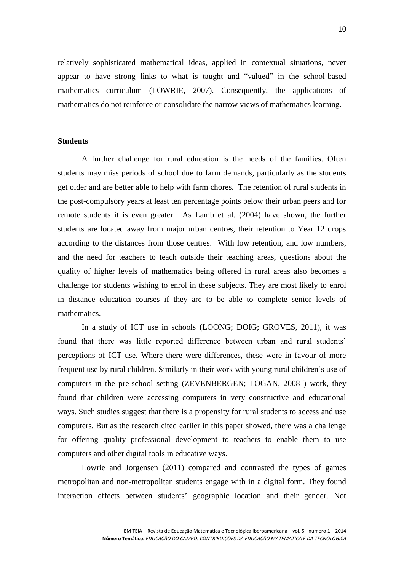relatively sophisticated mathematical ideas, applied in contextual situations, never appear to have strong links to what is taught and "valued" in the school-based mathematics curriculum (LOWRIE, 2007). Consequently, the applications of mathematics do not reinforce or consolidate the narrow views of mathematics learning.

## **Students**

A further challenge for rural education is the needs of the families. Often students may miss periods of school due to farm demands, particularly as the students get older and are better able to help with farm chores. The retention of rural students in the post-compulsory years at least ten percentage points below their urban peers and for remote students it is even greater. As Lamb et al. (2004) have shown, the further students are located away from major urban centres, their retention to Year 12 drops according to the distances from those centres. With low retention, and low numbers, and the need for teachers to teach outside their teaching areas, questions about the quality of higher levels of mathematics being offered in rural areas also becomes a challenge for students wishing to enrol in these subjects. They are most likely to enrol in distance education courses if they are to be able to complete senior levels of mathematics.

In a study of ICT use in schools (LOONG; DOIG; [GROVES, 2011\)](#page-11-10), it was found that there was little reported difference between urban and rural students' perceptions of ICT use. Where there were differences, these were in favour of more frequent use by rural children. Similarly in their work with young rural children's use of computers in the pre-school setting [\(ZEVENBERGEN;](#page-12-2) LOGAN, 2008 ) work, they found that children were accessing computers in very constructive and educational ways. Such studies suggest that there is a propensity for rural students to access and use computers. But as the research cited earlier in this paper showed, there was a challenge for offering quality professional development to teachers to enable them to use computers and other digital tools in educative ways.

Lowrie and Jorgensen [\(2011\)](#page-11-10) compared and contrasted the types of games metropolitan and non-metropolitan students engage with in a digital form. They found interaction effects between students' geographic location and their gender. Not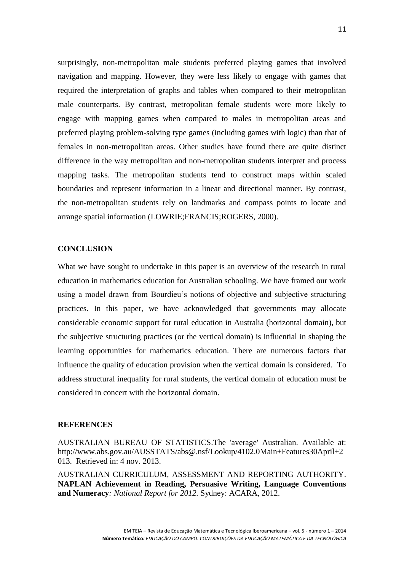surprisingly, non-metropolitan male students preferred playing games that involved navigation and mapping. However, they were less likely to engage with games that required the interpretation of graphs and tables when compared to their metropolitan male counterparts. By contrast, metropolitan female students were more likely to engage with mapping games when compared to males in metropolitan areas and preferred playing problem-solving type games (including games with logic) than that of females in non-metropolitan areas. Other studies have found there are quite distinct difference in the way metropolitan and non-metropolitan students interpret and process mapping tasks. The metropolitan students tend to construct maps within scaled boundaries and represent information in a linear and directional manner. By contrast, the non-metropolitan students rely on landmarks and compass points to locate and arrange spatial information (LOWRIE;FRANCIS;ROGERS, 2000).

## **CONCLUSION**

What we have sought to undertake in this paper is an overview of the research in rural education in mathematics education for Australian schooling. We have framed our work using a model drawn from Bourdieu's notions of objective and subjective structuring practices. In this paper, we have acknowledged that governments may allocate considerable economic support for rural education in Australia (horizontal domain), but the subjective structuring practices (or the vertical domain) is influential in shaping the learning opportunities for mathematics education. There are numerous factors that influence the quality of education provision when the vertical domain is considered. To address structural inequality for rural students, the vertical domain of education must be considered in concert with the horizontal domain.

#### **REFERENCES**

<span id="page-10-0"></span>AUSTRALIAN BUREAU OF STATISTICS.The 'average' Australian. Available at: [http://www.abs.gov.au/AUSSTATS/abs@.nsf/Lookup/4102.0Main+Features30April+2](http://www.abs.gov.au/AUSSTATS/abs@.nsf/Lookup/4102.0Main+Features30April+2013) [013.](http://www.abs.gov.au/AUSSTATS/abs@.nsf/Lookup/4102.0Main+Features30April+2013) Retrieved in: 4 nov. 2013.

AUSTRALIAN CURRICULUM, ASSESSMENT AND REPORTING AUTHORITY. **NAPLAN Achievement in Reading, Persuasive Writing, Language Conventions and Numeracy***: National Report for 2012.* Sydney: ACARA, 2012.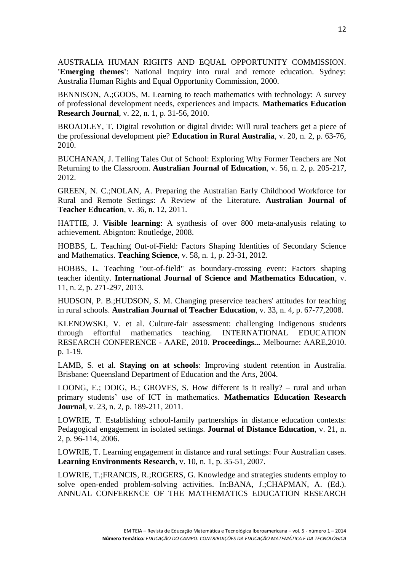<span id="page-11-1"></span>AUSTRALIA HUMAN RIGHTS AND EQUAL OPPORTUNITY COMMISSION. **'Emerging themes'**: National Inquiry into rural and remote education. Sydney: Australia Human Rights and Equal Opportunity Commission, 2000.

<span id="page-11-5"></span>BENNISON, A.;GOOS, M. Learning to teach mathematics with technology: A survey of professional development needs, experiences and impacts. **Mathematics Education Research Journal**, v. 22, n. 1, p. 31-56, 2010.

<span id="page-11-6"></span>BROADLEY, T. Digital revolution or digital divide: Will rural teachers get a piece of the professional development pie? **Education in Rural Australia**, v. 20, n. 2, p. 63-76, 2010.

<span id="page-11-4"></span>BUCHANAN, J. Telling Tales Out of School: Exploring Why Former Teachers are Not Returning to the Classroom. **Australian Journal of Education**, v. 56, n. 2, p. 205-217, 2012.

<span id="page-11-7"></span>GREEN, N. C.;NOLAN, A. Preparing the Australian Early Childhood Workforce for Rural and Remote Settings: A Review of the Literature. **Australian Journal of Teacher Education**, v. 36, n. 12, 2011.

<span id="page-11-0"></span>HATTIE, J. **Visible learning**: A synthesis of over 800 meta-analyusis relating to achievement. Abignton: Routledge, 2008.

<span id="page-11-2"></span>HOBBS, L. Teaching Out-of-Field: Factors Shaping Identities of Secondary Science and Mathematics. **Teaching Science**, v. 58, n. 1, p. 23-31, 2012.

<span id="page-11-3"></span>HOBBS, L. Teaching "out-of-field" as boundary-crossing event: Factors shaping teacher identity. **International Journal of Science and Mathematics Education**, v. 11, n. 2, p. 271-297, 2013.

<span id="page-11-8"></span>HUDSON, P. B.;HUDSON, S. M. Changing preservice teachers' attitudes for teaching in rural schools. **Australian Journal of Teacher Education**, v. 33, n. 4, p. 67-77,2008.

<span id="page-11-9"></span>KLENOWSKI, V. et al. Culture-fair assessment: challenging Indigenous students through effortful mathematics teaching. INTERNATIONAL EDUCATION RESEARCH CONFERENCE - AARE, 2010. **Proceedings...** Melbourne: AARE,2010. p. 1-19.

LAMB, S. et al. **Staying on at schools**: Improving student retention in Australia. Brisbane: Queensland Department of Education and the Arts, 2004.

<span id="page-11-10"></span>LOONG, E.; DOIG, B.; GROVES, S. How different is it really? – rural and urban primary students' use of ICT in mathematics. **Mathematics Education Research Journal**, v. 23, n. 2, p. 189-211, 2011.

LOWRIE, T. Establishing school-family partnerships in distance education contexts: Pedagogical engagement in isolated settings. **Journal of Distance Education**, v. 21, n. 2, p. 96-114, 2006.

LOWRIE, T. Learning engagement in distance and rural settings: Four Australian cases. **Learning Environments Research**, v. 10, n. 1, p. 35-51, 2007.

LOWRIE, T.;FRANCIS, R.;ROGERS, G. Knowledge and strategies students employ to solve open-ended problem-solving activities. In:BANA, J.;CHAPMAN, A. (Ed.). ANNUAL CONFERENCE OF THE MATHEMATICS EDUCATION RESEARCH